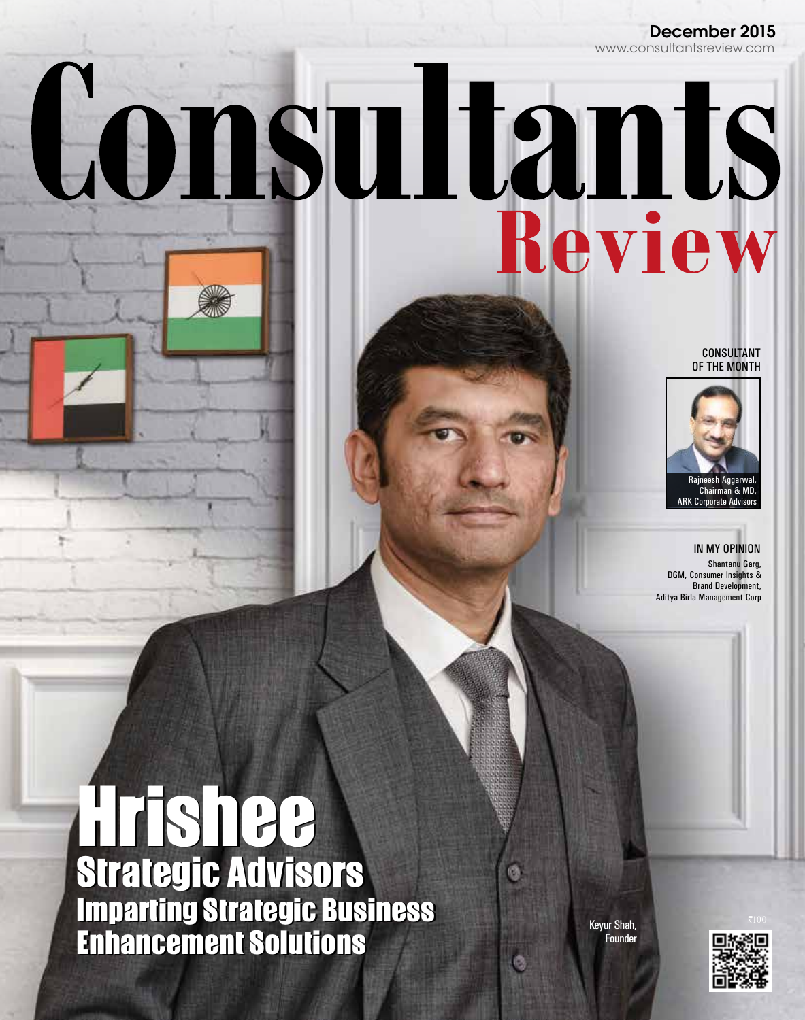# December 2015

# Consultants

CONSULTANT OF THE MONTH



IN MY OPINION Shantanu Garg, DGM, Consumer Insights & Brand Development, Aditya Birla Management Corp

# Hrishee Hrishee Strategic Advisors Strategic Advisors Imparting Strategic Business Enhancement Solutions Imparting Strategic Business Enhancement Solutions

Keyur Shah, Founder

ø

ø

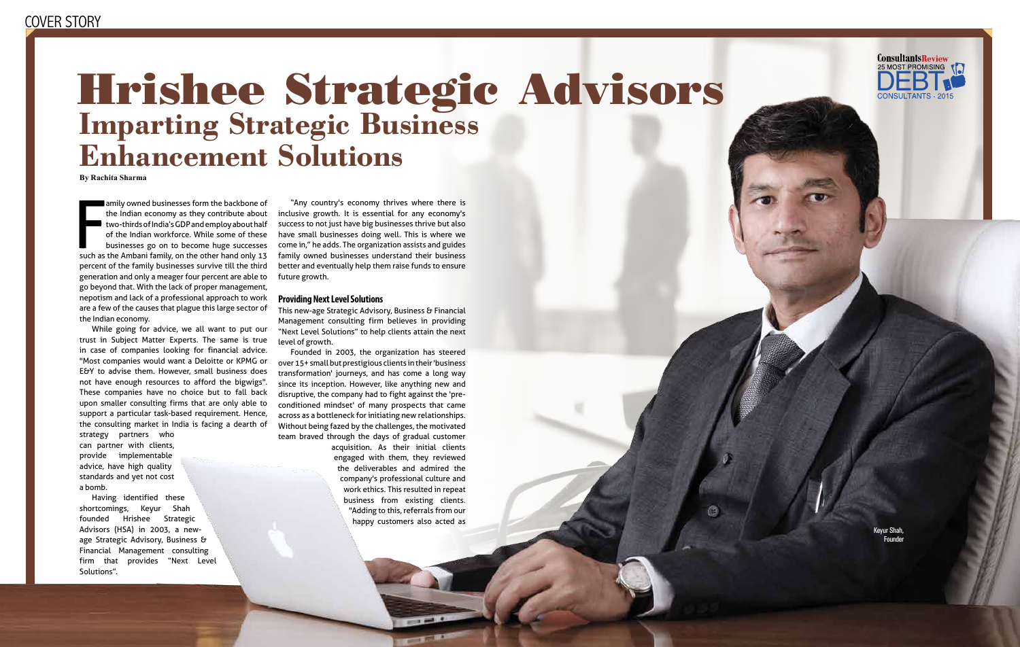| | December 2015 10 Consultants Review | | December 2015 11 Consultants Review

# Hrishee Strategic Advisors **Imparting Strategic Business Enhancement Solutions**

amily owned businesses form the backbone of<br>the Indian economy as they contribute about<br>two-thirds of India's GDP and employ about half<br>of the Indian workforce. While some of these<br>businesses go on to become huge successes amily owned businesses form the backbone of the Indian economy as they contribute about two-thirds of India's GDP and employ about half of the Indian workforce. While some of these businesses go on to become huge successes percent of the family businesses survive till the third generation and only a meager four percent are able to go beyond that. With the lack of proper management, nepotism and lack of a professional approach to work are a few of the causes that plague this large sector of the Indian economy.

While going for advice, we all want to put our trust in Subject Matter Experts. The same is true in case of companies looking for financial advice. "Most companies would want a Deloitte or KPMG or E&Y to advise them. However, small business does not have enough resources to afford the bigwigs". These companies have no choice but to fall back upon smaller consulting firms that are only able to support a particular task-based requirement. Hence, the consulting market in India is facing a dearth of

strategy partners who can partner with clients, provide implementable advice, have high quality standards and yet not cost a bomb.

Having identified these shortcomings, Keyur Shah founded Hrishee Strategic Advisors (HSA) in 2003, a newage Strategic Advisory, Business & Financial Management consulting firm that provides "Next Level Solutions".

"Any country's economy thrives where there is inclusive growth. It is essential for any economy's success to not just have big businesses thrive but also have small businesses doing well. This is where we come in," he adds. The organization assists and guides family owned businesses understand their business better and eventually help them raise funds to ensure future growth.

## **Providing Next Level Solutions**

This new-age Strategic Advisory, Business & Financial Management consulting firm believes in providing "Next Level Solutions" to help clients attain the next level of growth.

Founded in 2003, the organization has steered over 15+ small but prestigious clients in their 'business transformation' journeys, and has come a long way since its inception. However, like anything new and disruptive, the company had to fight against the 'preconditioned mindset' of many prospects that came across as a bottleneck for initiating new relationships. Without being fazed by the challenges, the motivated team braved through the days of gradual customer

> acquisition. As their initial clients engaged with them, they reviewed the deliverables and admired the company's professional culture and work ethics. This resulted in repeat business from existing clients. "Adding to this, referrals from our happy customers also acted as



**By Rachita Sharma**

Keyur Shah, Founder

G